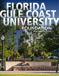# **FOUNDATION** UNIVERSITY GULP COAST **2018-19 ANNUAL REPORT**

1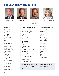# **FOUNDATION OFFICERS 2018-19**



**David Holmes Chairperson** 



**David Call** Vice Chairperson



**Timothy J. Cartwright Treasurer** 



**Kimberly L. Johnson**, **Esq. Secretary** 

#### **MEMBERS**

Lawrence Antonucci Timothy Cartwright Harry Casimir Thomas Corcoran Dean Fjelstul Joseph Gammons Mary Beth Geier Ann Hamilton Dennis Hansch Michael Hartley David Holmes Laura Holquist Kimberly Johnson Charles Ketteman Alex Lambros Dan Lavender James Nathan Geurt Peet Travus Pope Jeff Provol Kimberly Reese Mayela Rosales Joseph Schortz Samantha Scott Lee Seidler Allen Weiss Nancy Wickham

#### **FOUNDATION FELLOWS**

Barron Collier III J. Dudley Goodlette Ben Hill Griffin, III, L.H.D. Alan Korest Bernard Lester David Lucas Juliet Sproul

**EX-OFFICIO (Voting members)**

Michael Martin  *President, FGCU* J. Leo Montgomery *Board of Trustee Liaison*

#### **EX-OFFICIO (Non-voting members)**

Jesse Bouchard  *Alumni Association Board Chair* Robert Ryan, M.D. *Eagles Club Chair*

#### **CHAIRPERSONS EMERITI**

Richard Ackert David Call Joseph Catti Miller Couse Charles Edwards Jeffrey Fridkin John Fumagalli William Horowitz Charles Idelson James Knupp Donald "Chip" Lesch Steve McIntosh Edward Morton Fred Pezeshkan David Powell Duane Stranahan Peter Sulick Linda Taylor Charles Winton

#### Please call **(239) 590-1067** Fax: **(239) 590-1070 fgcu.edu/foundation TO CONTACT THE FGCU FOUNDATION OFFICE:**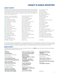# **LEGACY & EAGLE SOCIETIES**

#### **LEGACY SOCIETY**

Established in 2005, the Legacy Society recognizes friends and alumni who have included Florida Gulf Coast University in their estate plans. This special group of forward-thinkers has partnered with FGCU to plan for the University's future. These gifts contribute to FGCU's ability to provide for academic excellence, student success, scholarships and community and regional impact.

- } Richard C. and Linda Sue Ackert
- } Guy Almeling and Linda Sebastian
- } Anonymous
- } Joan and William Attridge
- } Mr. and Mrs. Gray C. Ballman
- } Mr. and Mrs. Robert J. Batson
- ▶ Dr. Fay R. Biles
- ▶ Jane S. Brenner
- } Mr. Jeffrey Bristol
- ▶ Dr. and Mrs. H.J. Burnette
- } Ms. Norma Callahan
- } Mr. and Mrs. Edmund Catalano
- } Mrs. Janet Cohen
- } Mrs. Carolyn E. Conant-Adair
- } Myra Janco Daniels
- } Dr. and Mrs. Amal K. Das
- } The Bill Eshbaugh Family
- ▶ Mr. and Mrs. Michael A. Fazio
- ▶ Mr. Robert Feir
- ▶ Dean and Alice Fjelstul
- } George and Rebecca Fogg
- } Dr. William J. Garbey
- } Carolyn and Charles Gould
- ▶ Ms. Linda Guerrine
- ▶ John and Dorothy Guigon
- ▶ Larry and Judy Halpin
- ▶ Ann H. Hamilton
- } Denise Heinemann, Ph.D., RN
- ▶ Mr. H. Richard Hendler
- } Mrs. Phyllis Herman
- } Mrs. Mary Lou Hillier
- } Mr. and Mrs. Harvey Hilton
- Mrs. Judith P. Hunter
- } Mrs. LaVonne Johnson
- } Ms. Carol M. Jonson
- } Alan G. and Saundra R. Kaplan
- } William Keser
- } Jim and Lynn Knupp
- } Cliff and Kimberly Langenbach
- ▶ Mrs. Patricia Latter
- ▶ Bonnie Lincoln
- ▶ Dr. John R. and Mrs. Veora Little
- ▶ Gary Long ▶ Suzanne Low
- ▶ Linda and David Lucas
- ▶ Gene Majewski
- } Ms. Elissa D. Manna
- } Dr. Elaine N. Marieb\*
- } Mr. and Mrs. John Nejman
- } Mr. Michael Peceri
- ▶ Wes and Yvette Powell
- ▶ G. Jeffrey Provol
- } Gail Rumble\*
- } Mr. and Mrs. Michael J. Schroeder
- } Janet Schwenn
- ▶ Lee and Gene Seidler
- } Mrs. Ruth M. Service\*
- ▶ Ronald Shaffer
- ▶ Karl and Louise Sheffield
- } Mr. Robert W. Shrader\*
- } Dr. Jo Stecher
- ▶ Mr. and Mrs. John M. Stimson
- ▶ Dr. George W. Sypert and Dr. E. J. Arpin
- } Michael W. and Mary I. Thompson
- ▶ Mrs. Ruth U. Tobe
- ▶ Dr. and Mrs. Keith Trowbridge
- } Colonel and Mrs. Dennis P. Vasey
- } Ron Wallace and Naomi Bloom

▶ Dean and Jane Schreiner } **Richard M. Schulze Family** 

} **Gene and Lee Seidler**  } Mr. and Mrs. Karl S. Sheffield

▶ James and Donna Sublett } **SWFL Children's Charities, Inc.**  } Norman and Nancy Vester

} **The Whitaker Foundation**

} **Mr. and Mrs. David and Cecile Wang** 

**Foundation** 

} Juliet C. Sproul

} Wells Fargo

▶ Mr. and Mrs. David and Cecile Wang

3

\* DECEASED

\* DECEASED

It is with great pleasure and gratitude that we acknowledge those who have so generously supported the University since the Florida Gulf Coast University Foundation was established. In addition to those listed below, many others have supported FGCU through direct assistance to students, colleges, programs, and activities. We extend our thanks to these donors as well.

#### **EAGLE SOCIETY**

The Eagle Society recognizes donors who have contributed \$1 million or more. **Bold** denotes membership in the Order of the Majestic Eagle with lifetime giving of \$2 million or more.

#### } **Alico, Inc.**

- } **Anonymous**
- } **Backe Foundation**
- ▶ Mr. David and Dr. Alise Bartley
- ▶ Blair Foundation
- } CenturyLink Business
- } **Janet and Harvey\* Cohen**
- } **Community Health Association, Inc.**
- } The Conservancy of Southwest Florida
- } **Myra Janco Daniels**
- } **Mary E. Dooner Foundation**
- ▶ Dean and Alice Fielstul
- } George and Rebecca Fogg
- ▶ The Freeman Family
- } Dr. William J. Garbey
- } **Ginn Resorts Foundation**
- } **Mickey and Claudia Gordon**
- } **Mr. and Mrs. John V. Guigon**
- } Michael D. and Karen J. Hartley
- } **Alan G. and Saundra R. Kaplan**
- } **Mr. and Mrs. Scott B. Kapnick**
- } **Kelly Tractor Co.**
- } **Kitson & Partners**

**Commissioners**  ▶ Lee Health Foundation } **Linda and David Lucas**  } **Dr. Elaine N. Marieb\***  ▶ Moorings Park

**Foundation** 

- } **Peter D. and Eleanore A. Kleist Foundation**
- } **Mr. and Mrs.\* Alan Korest**  } **Lee County Board of County**

} Naples Botanical Garden } **Naples Children and Education** 

} **NCH Healthcare System**  ▶ Maurizio and Laura Nisita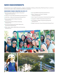# **NEW ENDOWMENTS**

Endowed funds cover a wealth of purposes – programs, scholarships, buildings, professorships. What they all have in common is that the donors seek to make contributions that will last in perpetuity.

#### **ENDOWED FUNDS CREATED IN 2018-19**

- } Alan & Jacquelin Cadkin Foundation Educational Engagement Endowment
- } Captains for Clean Water Brett McKinstry Endowed Fund
- } Julian Ellis, Jr. Memorial Scholarship Endowed Fund
- } Environmental Health & Safety Scholarship Endowed Fund
- } Faculty Senate Student-Athlete Scholarship Endowed Fund
- } John Herman Biodiversity Studies Opportunity Scholarship Endowed Fund
- } Officer Adam Jobbers-Miller Memorial Scholarship Endowed Fund
- } Lee Coast MOAA Scholarship Endowed Fund
- } Dean K. Norbeck and Susan E. Norbeck Endowed Scholarship
- } John R. Opel First Generation Scholarship Endowed Fund
- } Jacqueline A. Welch Scholarship Endowed Fund
- } U.A. Whitaker College of Engineering Equipment Endowed Fund
- } Wright Construction Group Scholarship Endowed Fund

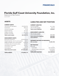# **Florida Gulf Coast University Foundation, Inc.**

Statement of Net Position

June 30, 2019

## **ASSETS**

#### **CURRENT ASSETS**

| Total current assets \$21,073,775      |
|----------------------------------------|
|                                        |
| Pledges receivable812,300              |
|                                        |
| Accounts receivable 5,750              |
|                                        |
| Cash and cash equivalents \$19,306,762 |

#### **NONCURRENT ASSETS**

| Restricted investments \$100,030,244                 |
|------------------------------------------------------|
| Prepaid expenses, net of current portion 34,670      |
| Pledges receivable, net of current portion 1,548,368 |
| Surrender value of insurance policy 167,652          |
| Land held for investment 322,321                     |
|                                                      |
| Land holdings 11,693,500                             |
| Total noncurrent assets \$113,812,941                |
|                                                      |

**TOTAL ASSETS** . . . . . . . . . . . . . . . **\$134,886,716**

## **LIABILITIES AND NET POSITION**

#### **CURRENT LIABILITIES**

| Total current liabilities\$199,937 |  |  |  |  |  |  |
|------------------------------------|--|--|--|--|--|--|
| Gift annuities payable 82,172      |  |  |  |  |  |  |
| Accounts payable \$117,765         |  |  |  |  |  |  |

#### **NONCURRENT LIABILITIES**

| Gift annuities payable,                 |  |
|-----------------------------------------|--|
| net of current portion \$455,869        |  |
|                                         |  |
| Total noncurrent liabilities  \$455,869 |  |

#### **DEFERRED INFLOWS OF RESOURCES**

|--|--|--|--|--|--|--|--|--|--|--|--|--|--|--|--|--|--|--|--|--|--|--|--|--|--|--|--|--|--|

#### **NET POSITION**

| Restricted                               |  |
|------------------------------------------|--|
| Expendable  \$47,079,978                 |  |
| Nonexpendable endowment 76,570,630       |  |
|                                          |  |
| <b>TOTAL NET POSITION.</b> \$133,189,166 |  |